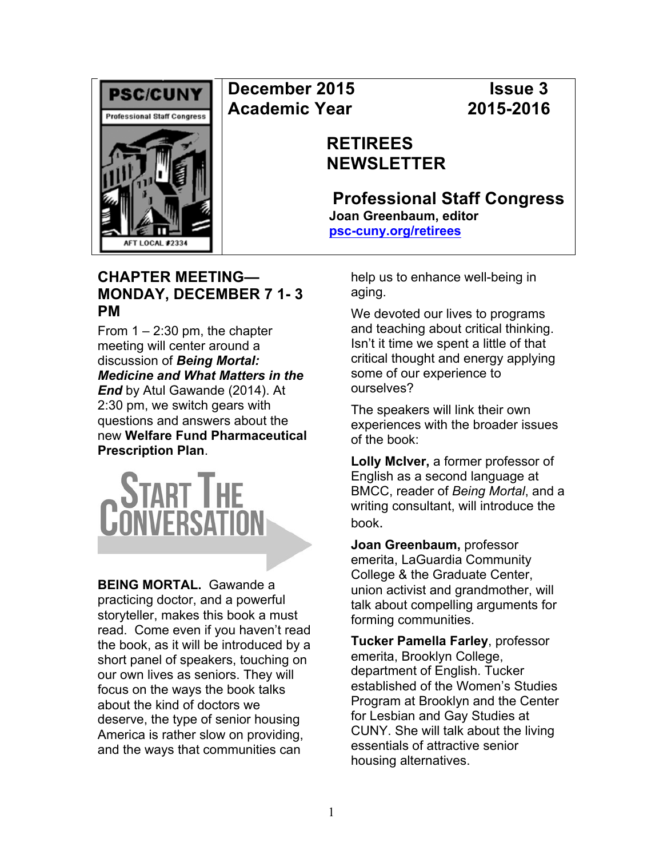

# **December 2015 Issue 3 Academic Year 2015-2016**

# **RETIREES NEWSLETTER**

**Professional Staff Congress Joan Greenbaum, editor psc-cuny.org/retirees**

## **CHAPTER MEETING— MONDAY, DECEMBER 7 1- 3 PM**

From  $1 - 2:30$  pm, the chapter meeting will center around a discussion of *Being Mortal: Medicine and What Matters in the End* by Atul Gawande (2014). At 2:30 pm, we switch gears with questions and answers about the new **Welfare Fund Pharmaceutical Prescription Plan**.



**BEING MORTAL.** Gawande a practicing doctor, and a powerful storyteller, makes this book a must read. Come even if you haven't read the book, as it will be introduced by a short panel of speakers, touching on our own lives as seniors. They will focus on the ways the book talks about the kind of doctors we deserve, the type of senior housing America is rather slow on providing, and the ways that communities can

help us to enhance well-being in aging.

We devoted our lives to programs and teaching about critical thinking. Isn't it time we spent a little of that critical thought and energy applying some of our experience to ourselves?

The speakers will link their own experiences with the broader issues of the book:

**Lolly McIver,** a former professor of English as a second language at BMCC, reader of *Being Mortal*, and a writing consultant, will introduce the book.

**Joan Greenbaum,** professor emerita, LaGuardia Community College & the Graduate Center, union activist and grandmother, will talk about compelling arguments for forming communities.

**Tucker Pamella Farley**, professor emerita, Brooklyn College, department of English. Tucker established of the Women's Studies Program at Brooklyn and the Center for Lesbian and Gay Studies at CUNY. She will talk about the living essentials of attractive senior housing alternatives.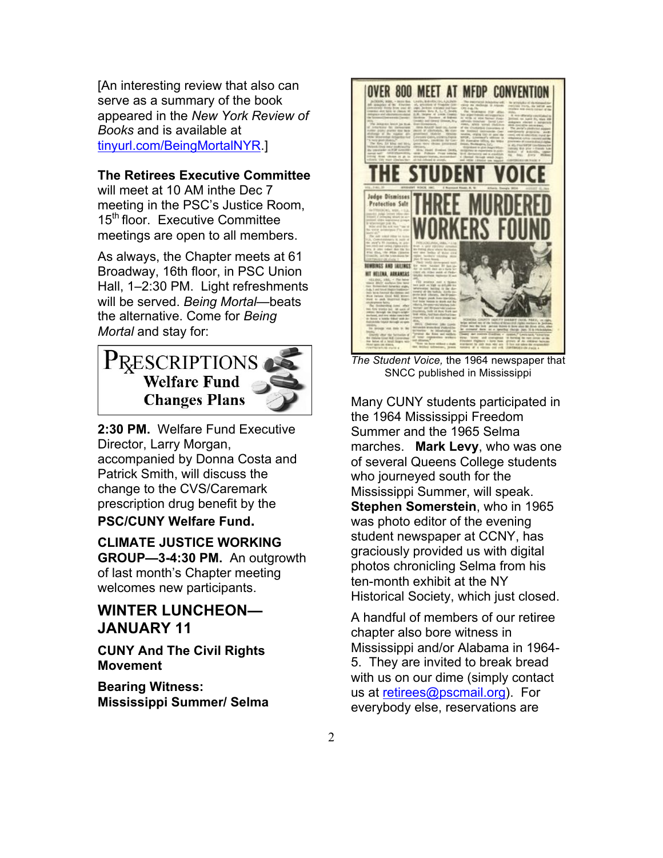[An interesting review that also can serve as a summary of the book appeared in the *New York Review of Books* and is available at tinyurl.com/BeingMortalNYR.]

#### **The Retirees Executive Committee**

will meet at 10 AM inthe Dec 7 meeting in the PSC's Justice Room, 15<sup>th</sup> floor. Executive Committee meetings are open to all members.

As always, the Chapter meets at 61 Broadway, 16th floor, in PSC Union Hall, 1–2:30 PM. Light refreshments will be served. *Being Mortal*—beats the alternative. Come for *Being Mortal* and stay for:

# PRESCRIPTIONS **Welfare Fund Changes Plans**

**2:30 PM.** Welfare Fund Executive Director, Larry Morgan, accompanied by Donna Costa and Patrick Smith, will discuss the change to the CVS/Caremark prescription drug benefit by the **PSC/CUNY Welfare Fund.**

**CLIMATE JUSTICE WORKING GROUP—3-4:30 PM.** An outgrowth of last month's Chapter meeting welcomes new participants.

## **WINTER LUNCHEON— JANUARY 11**

**CUNY And The Civil Rights Movement**

**Bearing Witness: Mississippi Summer/ Selma** 



*The Student Voice,* the 1964 newspaper that SNCC published in Mississippi

Many CUNY students participated in the 1964 Mississippi Freedom Summer and the 1965 Selma marches. **Mark Levy**, who was one of several Queens College students who journeyed south for the Mississippi Summer, will speak. **Stephen Somerstein**, who in 1965 was photo editor of the evening student newspaper at CCNY, has graciously provided us with digital photos chronicling Selma from his ten-month exhibit at the NY Historical Society, which just closed.

A handful of members of our retiree chapter also bore witness in Mississippi and/or Alabama in 1964- 5. They are invited to break bread with us on our dime (simply contact us at retirees@pscmail.org). For everybody else, reservations are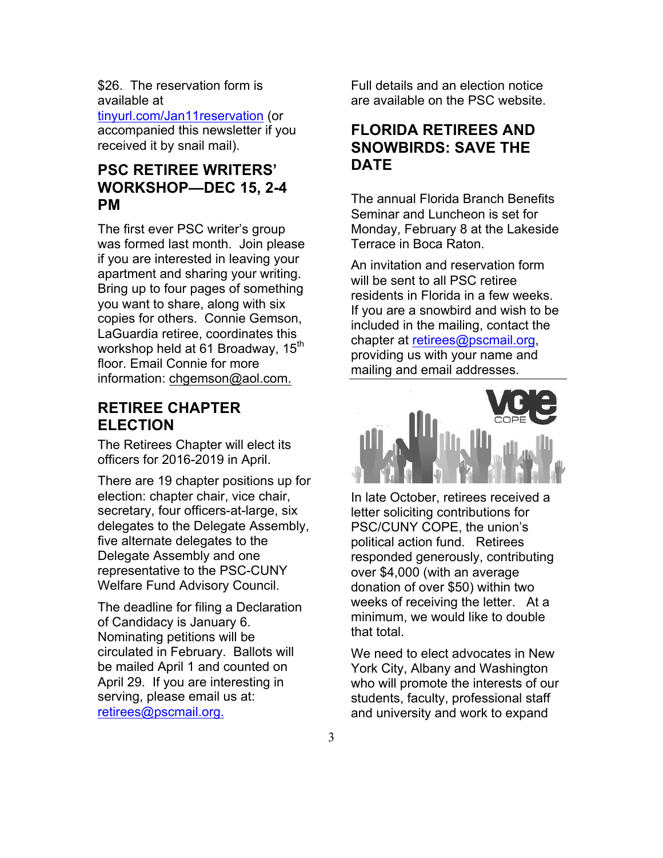\$26. The reservation form is available at

tinyurl.com/Jan11reservation (or accompanied this newsletter if you received it by snail mail).

#### **PSC RETIREE WRITERS' WORKSHOP—DEC 15, 2-4 PM**

The first ever PSC writer's group was formed last month. Join please if you are interested in leaving your apartment and sharing your writing. Bring up to four pages of something you want to share, along with six copies for others. Connie Gemson, LaGuardia retiree, coordinates this workshop held at 61 Broadway, 15<sup>th</sup> floor. Email Connie for more information: chgemson@aol.com.

#### **RETIREE CHAPTER ELECTION**

The Retirees Chapter will elect its officers for 2016-2019 in April.

There are 19 chapter positions up for election: chapter chair, vice chair, secretary, four officers-at-large, six delegates to the Delegate Assembly, five alternate delegates to the Delegate Assembly and one representative to the PSC-CUNY Welfare Fund Advisory Council.

The deadline for filing a Declaration of Candidacy is January 6. Nominating petitions will be circulated in February. Ballots will be mailed April 1 and counted on April 29. If you are interesting in serving, please email us at: retirees@pscmail.org.

Full details and an election notice are available on the PSC website.

#### **FLORIDA RETIREES AND SNOWBIRDS: SAVE THE DATE**

The annual Florida Branch Benefits Seminar and Luncheon is set for Monday, February 8 at the Lakeside Terrace in Boca Raton.

An invitation and reservation form will be sent to all PSC retiree residents in Florida in a few weeks. If you are a snowbird and wish to be included in the mailing, contact the chapter at retirees@pscmail.org, providing us with your name and mailing and email addresses.



In late October, retirees received a letter soliciting contributions for PSC/CUNY COPE, the union's political action fund. Retirees responded generously, contributing over \$4,000 (with an average donation of over \$50) within two weeks of receiving the letter. At a minimum, we would like to double that total.

We need to elect advocates in New York City, Albany and Washington who will promote the interests of our students, faculty, professional staff and university and work to expand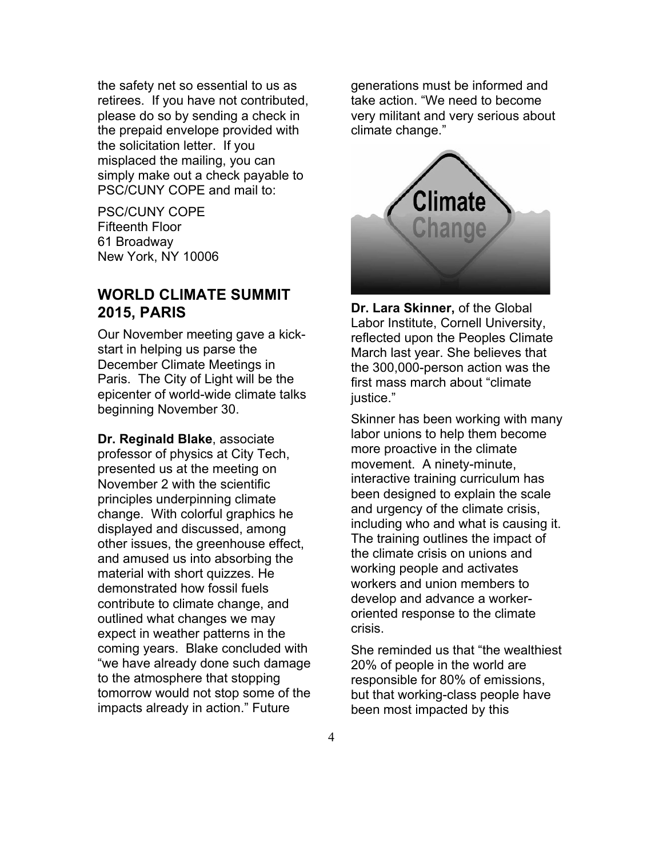the safety net so essential to us as retirees. If you have not contributed, please do so by sending a check in the prepaid envelope provided with the solicitation letter. If you misplaced the mailing, you can simply make out a check payable to PSC/CUNY COPE and mail to:

PSC/CUNY COPE Fifteenth Floor 61 Broadway New York, NY 10006

#### **WORLD CLIMATE SUMMIT 2015, PARIS**

Our November meeting gave a kickstart in helping us parse the December Climate Meetings in Paris. The City of Light will be the epicenter of world-wide climate talks beginning November 30.

**Dr. Reginald Blake**, associate professor of physics at City Tech, presented us at the meeting on November 2 with the scientific principles underpinning climate change. With colorful graphics he displayed and discussed, among other issues, the greenhouse effect, and amused us into absorbing the material with short quizzes. He demonstrated how fossil fuels contribute to climate change, and outlined what changes we may expect in weather patterns in the coming years. Blake concluded with "we have already done such damage to the atmosphere that stopping tomorrow would not stop some of the impacts already in action." Future

generations must be informed and take action. "We need to become very militant and very serious about climate change."



**Dr. Lara Skinner,** of the Global Labor Institute, Cornell University, reflected upon the Peoples Climate March last year. She believes that the 300,000-person action was the first mass march about "climate justice."

Skinner has been working with many labor unions to help them become more proactive in the climate movement. A ninety-minute, interactive training curriculum has been designed to explain the scale and urgency of the climate crisis, including who and what is causing it. The training outlines the impact of the climate crisis on unions and working people and activates workers and union members to develop and advance a workeroriented response to the climate crisis.

She reminded us that "the wealthiest 20% of people in the world are responsible for 80% of emissions, but that working-class people have been most impacted by this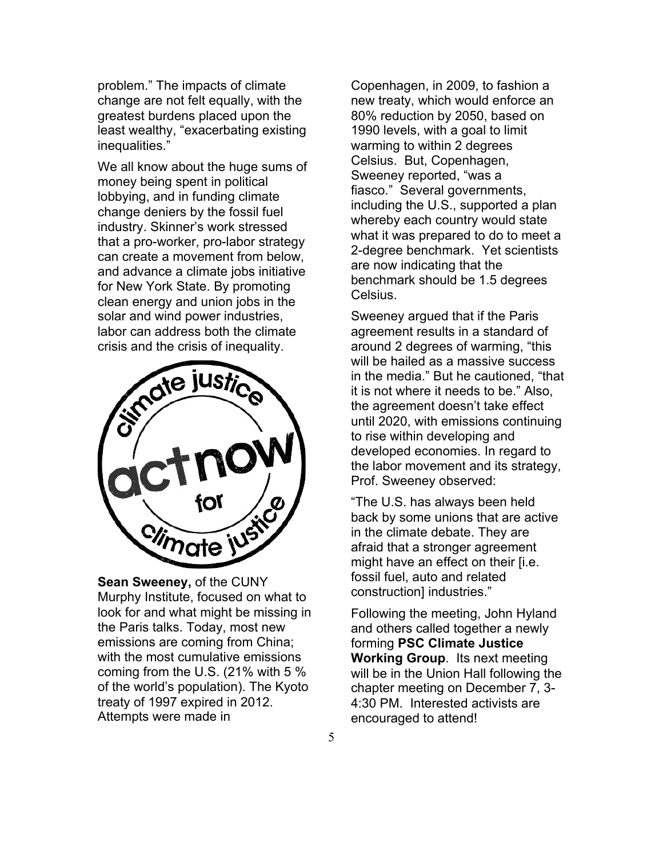problem." The impacts of climate change are not felt equally, with the greatest burdens placed upon the least wealthy, "exacerbating existing inequalities."

We all know about the huge sums of money being spent in political lobbying, and in funding climate change deniers by the fossil fuel industry. Skinner's work stressed that a pro-worker, pro-labor strategy can create a movement from below, and advance a climate jobs initiative for New York State. By promoting clean energy and union jobs in the solar and wind power industries, labor can address both the climate crisis and the crisis of inequality.



**Sean Sweeney,** of the CUNY Murphy Institute, focused on what to look for and what might be missing in the Paris talks. Today, most new emissions are coming from China; with the most cumulative emissions coming from the U.S. (21% with 5 % of the world's population). The Kyoto treaty of 1997 expired in 2012. Attempts were made in

Copenhagen, in 2009, to fashion a new treaty, which would enforce an 80% reduction by 2050, based on 1990 levels, with a goal to limit warming to within 2 degrees Celsius. But, Copenhagen, Sweeney reported, "was a fiasco." Several governments, including the U.S., supported a plan whereby each country would state what it was prepared to do to meet a 2-degree benchmark. Yet scientists are now indicating that the benchmark should be 1.5 degrees Celsius.

Sweeney argued that if the Paris agreement results in a standard of around 2 degrees of warming, "this will be hailed as a massive success in the media." But he cautioned, "that it is not where it needs to be." Also, the agreement doesn't take effect until 2020, with emissions continuing to rise within developing and developed economies. In regard to the labor movement and its strategy, Prof. Sweeney observed:

"The U.S. has always been held back by some unions that are active in the climate debate. They are afraid that a stronger agreement might have an effect on their [i.e. fossil fuel, auto and related construction] industries."

Following the meeting, John Hyland and others called together a newly forming **PSC Climate Justice Working Group**. Its next meeting will be in the Union Hall following the chapter meeting on December 7, 3- 4:30 PM. Interested activists are encouraged to attend!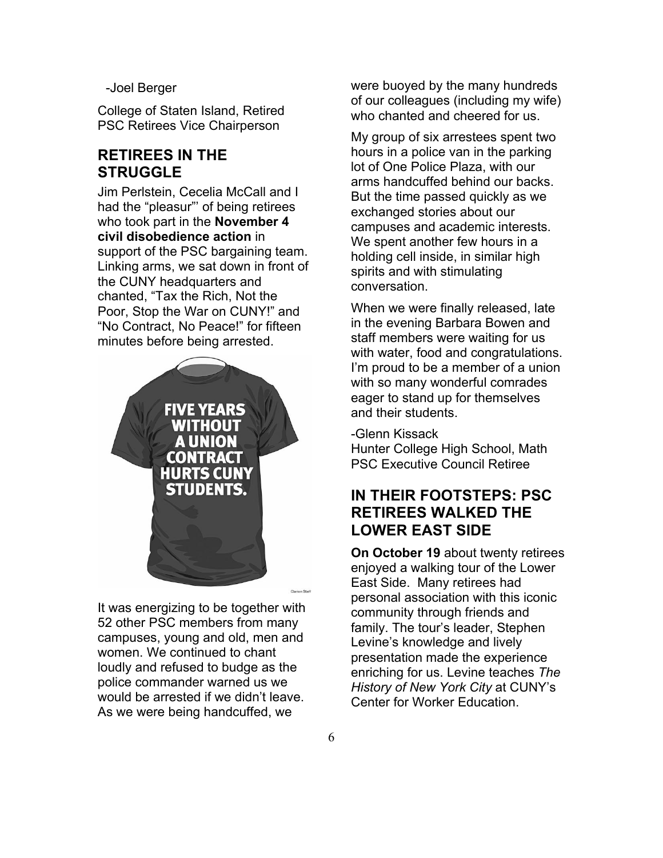-Joel Berger

College of Staten Island, Retired PSC Retirees Vice Chairperson

## **RETIREES IN THE STRUGGLE**

Jim Perlstein, Cecelia McCall and I had the "pleasur"' of being retirees who took part in the **November 4 civil disobedience action** in support of the PSC bargaining team. Linking arms, we sat down in front of the CUNY headquarters and chanted, "Tax the Rich, Not the Poor, Stop the War on CUNY!" and "No Contract, No Peace!" for fifteen minutes before being arrested.



It was energizing to be together with 52 other PSC members from many campuses, young and old, men and women. We continued to chant loudly and refused to budge as the police commander warned us we would be arrested if we didn't leave. As we were being handcuffed, we

were buoyed by the many hundreds of our colleagues (including my wife) who chanted and cheered for us.

My group of six arrestees spent two hours in a police van in the parking lot of One Police Plaza, with our arms handcuffed behind our backs. But the time passed quickly as we exchanged stories about our campuses and academic interests. We spent another few hours in a holding cell inside, in similar high spirits and with stimulating conversation.

When we were finally released, late in the evening Barbara Bowen and staff members were waiting for us with water, food and congratulations. I'm proud to be a member of a union with so many wonderful comrades eager to stand up for themselves and their students.

-Glenn Kissack Hunter College High School, Math PSC Executive Council Retiree

## **IN THEIR FOOTSTEPS: PSC RETIREES WALKED THE LOWER EAST SIDE**

**On October 19** about twenty retirees enjoyed a walking tour of the Lower East Side. Many retirees had personal association with this iconic community through friends and family. The tour's leader, Stephen Levine's knowledge and lively presentation made the experience enriching for us. Levine teaches *The History of New York City* at CUNY's Center for Worker Education.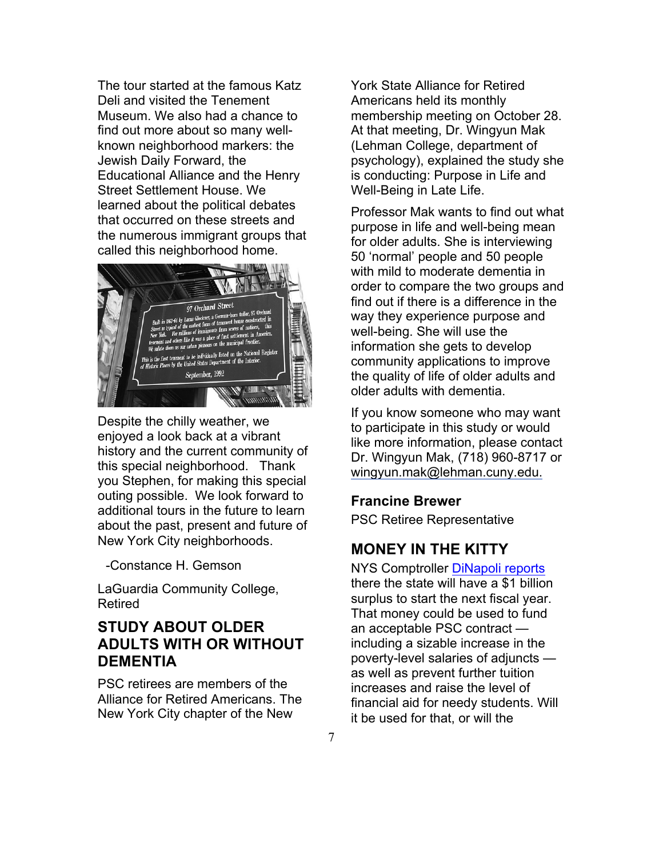The tour started at the famous Katz Deli and visited the Tenement Museum. We also had a chance to find out more about so many wellknown neighborhood markers: the Jewish Daily Forward, the Educational Alliance and the Henry Street Settlement House. We learned about the political debates that occurred on these streets and the numerous immigrant groups that called this neighborhood home.



Despite the chilly weather, we enjoyed a look back at a vibrant history and the current community of this special neighborhood. Thank you Stephen, for making this special outing possible. We look forward to additional tours in the future to learn about the past, present and future of New York City neighborhoods.

-Constance H. Gemson

LaGuardia Community College, Retired

## **STUDY ABOUT OLDER ADULTS WITH OR WITHOUT DEMENTIA**

PSC retirees are members of the Alliance for Retired Americans. The New York City chapter of the New

York State Alliance for Retired Americans held its monthly membership meeting on October 28. At that meeting, Dr. Wingyun Mak (Lehman College, department of psychology), explained the study she is conducting: Purpose in Life and Well-Being in Late Life.

Professor Mak wants to find out what purpose in life and well-being mean for older adults. She is interviewing 50 'normal' people and 50 people with mild to moderate dementia in order to compare the two groups and find out if there is a difference in the way they experience purpose and well-being. She will use the information she gets to develop community applications to improve the quality of life of older adults and older adults with dementia.

If you know someone who may want to participate in this study or would like more information, please contact Dr. Wingyun Mak, (718) 960-8717 or wingyun.mak@lehman.cuny.edu.

#### **Francine Brewer**

PSC Retiree Representative

#### **MONEY IN THE KITTY**

NYS Comptroller DiNapoli reports there the state will have a \$1 billion surplus to start the next fiscal year. That money could be used to fund an acceptable PSC contract including a sizable increase in the poverty-level salaries of adjuncts as well as prevent further tuition increases and raise the level of financial aid for needy students. Will it be used for that, or will the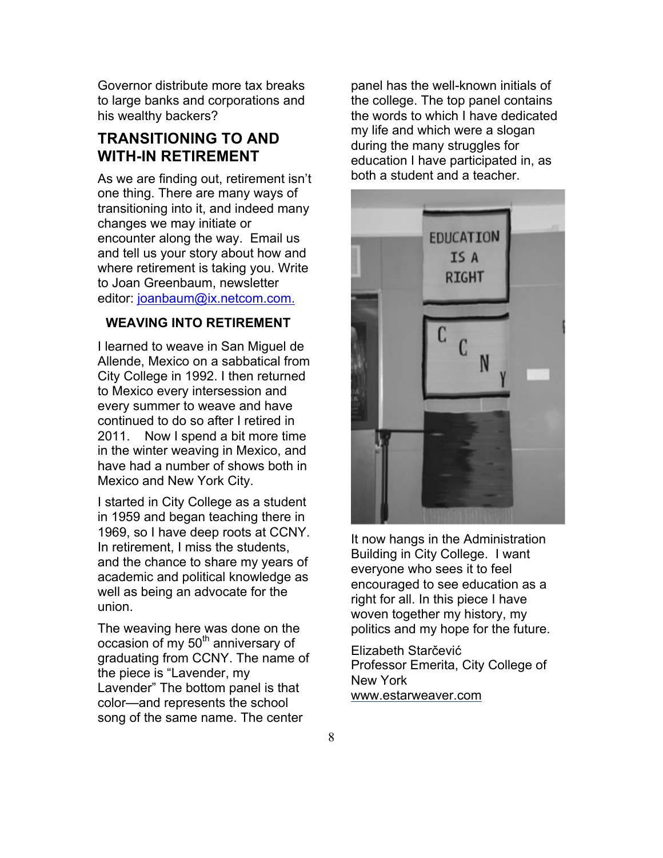Governor distribute more tax breaks to large banks and corporations and his wealthy backers?

## **TRANSITIONING TO AND WITH-IN RETIREMENT**

As we are finding out, retirement isn't one thing. There are many ways of transitioning into it, and indeed many changes we may initiate or encounter along the way. Email us and tell us your story about how and where retirement is taking you. Write to Joan Greenbaum, newsletter editor: joanbaum@ix.netcom.com.

#### **WEAVING INTO RETIREMENT**

I learned to weave in San Miguel de Allende, Mexico on a sabbatical from City College in 1992. I then returned to Mexico every intersession and every summer to weave and have continued to do so after I retired in 2011. Now I spend a bit more time in the winter weaving in Mexico, and have had a number of shows both in Mexico and New York City.

I started in City College as a student in 1959 and began teaching there in 1969, so I have deep roots at CCNY. In retirement, I miss the students, and the chance to share my years of academic and political knowledge as well as being an advocate for the union.

The weaving here was done on the occasion of my 50<sup>th</sup> anniversary of graduating from CCNY. The name of the piece is "Lavender, my Lavender" The bottom panel is that color—and represents the school song of the same name. The center

panel has the well-known initials of the college. The top panel contains the words to which I have dedicated my life and which were a slogan during the many struggles for education I have participated in, as both a student and a teacher.



It now hangs in the Administration Building in City College. I want everyone who sees it to feel encouraged to see education as a right for all. In this piece I have woven together my history, my politics and my hope for the future.

Elizabeth Starčević Professor Emerita, City College of New York www.estarweaver.com